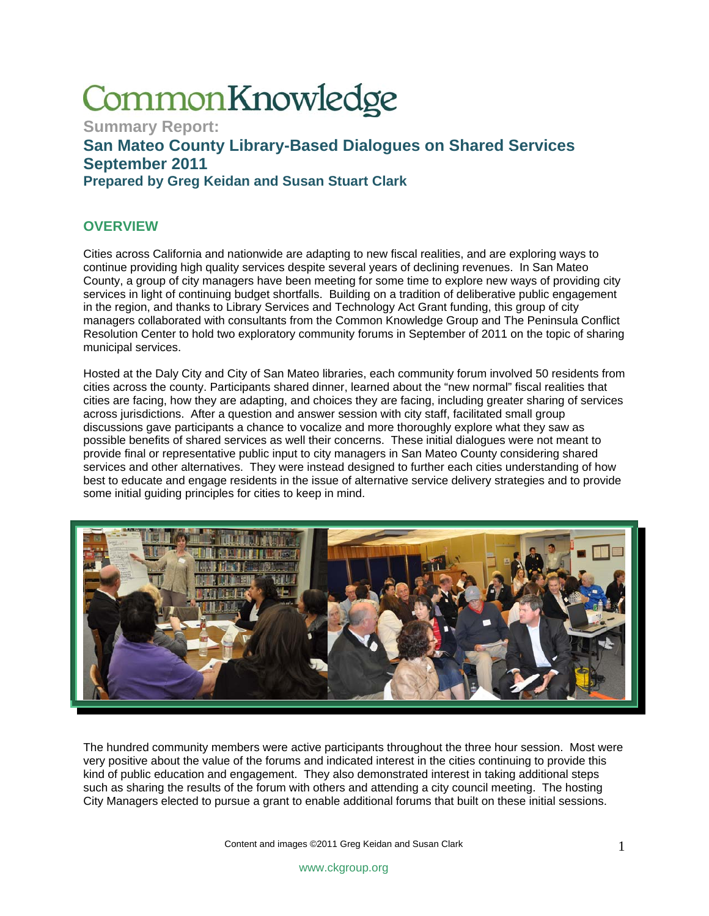# CommonKnowledge

**Summary Report: San Mateo County Library-Based Dialogues on Shared Services September 2011 Prepared by Greg Keidan and Susan Stuart Clark** 

### **OVERVIEW**

Cities across California and nationwide are adapting to new fiscal realities, and are exploring ways to continue providing high quality services despite several years of declining revenues. In San Mateo County, a group of city managers have been meeting for some time to explore new ways of providing city services in light of continuing budget shortfalls. Building on a tradition of deliberative public engagement in the region, and thanks to Library Services and Technology Act Grant funding, this group of city managers collaborated with consultants from the Common Knowledge Group and The Peninsula Conflict Resolution Center to hold two exploratory community forums in September of 2011 on the topic of sharing municipal services.

Hosted at the Daly City and City of San Mateo libraries, each community forum involved 50 residents from cities across the county. Participants shared dinner, learned about the "new normal" fiscal realities that cities are facing, how they are adapting, and choices they are facing, including greater sharing of services across jurisdictions. After a question and answer session with city staff, facilitated small group discussions gave participants a chance to vocalize and more thoroughly explore what they saw as possible benefits of shared services as well their concerns. These initial dialogues were not meant to provide final or representative public input to city managers in San Mateo County considering shared services and other alternatives. They were instead designed to further each cities understanding of how best to educate and engage residents in the issue of alternative service delivery strategies and to provide some initial guiding principles for cities to keep in mind.



The hundred community members were active participants throughout the three hour session. Most were very positive about the value of the forums and indicated interest in the cities continuing to provide this kind of public education and engagement. They also demonstrated interest in taking additional steps such as sharing the results of the forum with others and attending a city council meeting. The hosting City Managers elected to pursue a grant to enable additional forums that built on these initial sessions.

Content and images ©2011 Greg Keidan and Susan Clark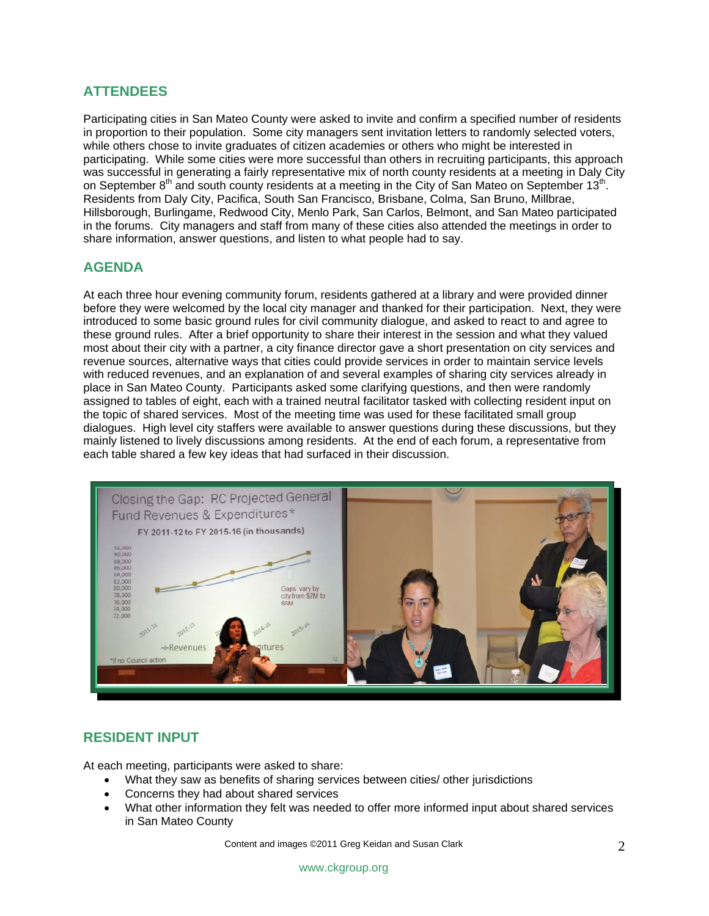# **ATTENDEES**

Participating cities in San Mateo County were asked to invite and confirm a specified number of residents in proportion to their population. Some city managers sent invitation letters to randomly selected voters, while others chose to invite graduates of citizen academies or others who might be interested in participating. While some cities were more successful than others in recruiting participants, this approach was successful in generating a fairly representative mix of north county residents at a meeting in Daly City on September 8<sup>th</sup> and south county residents at a meeting in the City of San Mateo on September 13<sup>th</sup>. Residents from Daly City, Pacifica, South San Francisco, Brisbane, Colma, San Bruno, Millbrae, Hillsborough, Burlingame, Redwood City, Menlo Park, San Carlos, Belmont, and San Mateo participated in the forums. City managers and staff from many of these cities also attended the meetings in order to share information, answer questions, and listen to what people had to say.

# **AGENDA**

At each three hour evening community forum, residents gathered at a library and were provided dinner before they were welcomed by the local city manager and thanked for their participation. Next, they were introduced to some basic ground rules for civil community dialogue, and asked to react to and agree to these ground rules. After a brief opportunity to share their interest in the session and what they valued most about their city with a partner, a city finance director gave a short presentation on city services and revenue sources, alternative ways that cities could provide services in order to maintain service levels with reduced revenues, and an explanation of and several examples of sharing city services already in place in San Mateo County. Participants asked some clarifying questions, and then were randomly assigned to tables of eight, each with a trained neutral facilitator tasked with collecting resident input on the topic of shared services. Most of the meeting time was used for these facilitated small group dialogues. High level city staffers were available to answer questions during these discussions, but they mainly listened to lively discussions among residents. At the end of each forum, a representative from each table shared a few key ideas that had surfaced in their discussion.



#### **RESIDENT INPUT**

At each meeting, participants were asked to share:

- What they saw as benefits of sharing services between cities/ other jurisdictions
- Concerns they had about shared services
- What other information they felt was needed to offer more informed input about shared services in San Mateo County

Content and images ©2011 Greg Keidan and Susan Clark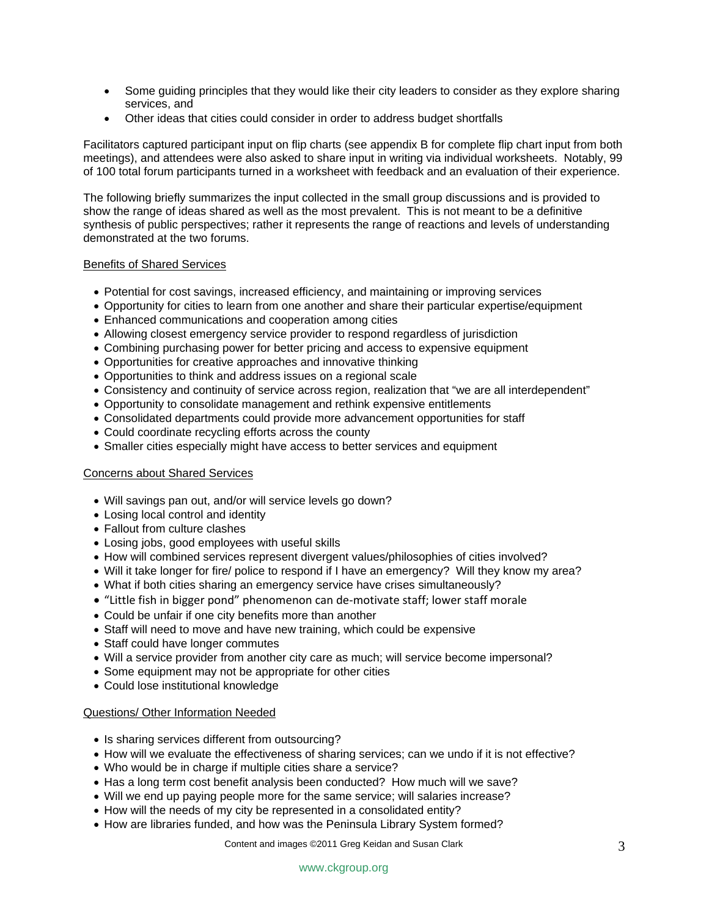- Some guiding principles that they would like their city leaders to consider as they explore sharing services, and
- Other ideas that cities could consider in order to address budget shortfalls

Facilitators captured participant input on flip charts (see appendix B for complete flip chart input from both meetings), and attendees were also asked to share input in writing via individual worksheets. Notably, 99 of 100 total forum participants turned in a worksheet with feedback and an evaluation of their experience.

The following briefly summarizes the input collected in the small group discussions and is provided to show the range of ideas shared as well as the most prevalent. This is not meant to be a definitive synthesis of public perspectives; rather it represents the range of reactions and levels of understanding demonstrated at the two forums.

#### Benefits of Shared Services

- Potential for cost savings, increased efficiency, and maintaining or improving services
- Opportunity for cities to learn from one another and share their particular expertise/equipment
- Enhanced communications and cooperation among cities
- Allowing closest emergency service provider to respond regardless of jurisdiction
- Combining purchasing power for better pricing and access to expensive equipment
- Opportunities for creative approaches and innovative thinking
- Opportunities to think and address issues on a regional scale
- Consistency and continuity of service across region, realization that "we are all interdependent"
- Opportunity to consolidate management and rethink expensive entitlements
- Consolidated departments could provide more advancement opportunities for staff
- Could coordinate recycling efforts across the county
- Smaller cities especially might have access to better services and equipment

#### Concerns about Shared Services

- Will savings pan out, and/or will service levels go down?
- Losing local control and identity
- Fallout from culture clashes
- Losing jobs, good employees with useful skills
- How will combined services represent divergent values/philosophies of cities involved?
- Will it take longer for fire/ police to respond if I have an emergency? Will they know my area?
- What if both cities sharing an emergency service have crises simultaneously?
- "Little fish in bigger pond" phenomenon can de‐motivate staff; lower staff morale
- Could be unfair if one city benefits more than another
- Staff will need to move and have new training, which could be expensive
- Staff could have longer commutes
- Will a service provider from another city care as much; will service become impersonal?
- Some equipment may not be appropriate for other cities
- Could lose institutional knowledge

#### Questions/ Other Information Needed

- Is sharing services different from outsourcing?
- How will we evaluate the effectiveness of sharing services; can we undo if it is not effective?
- Who would be in charge if multiple cities share a service?
- Has a long term cost benefit analysis been conducted? How much will we save?
- Will we end up paying people more for the same service; will salaries increase?
- How will the needs of my city be represented in a consolidated entity?
- How are libraries funded, and how was the Peninsula Library System formed?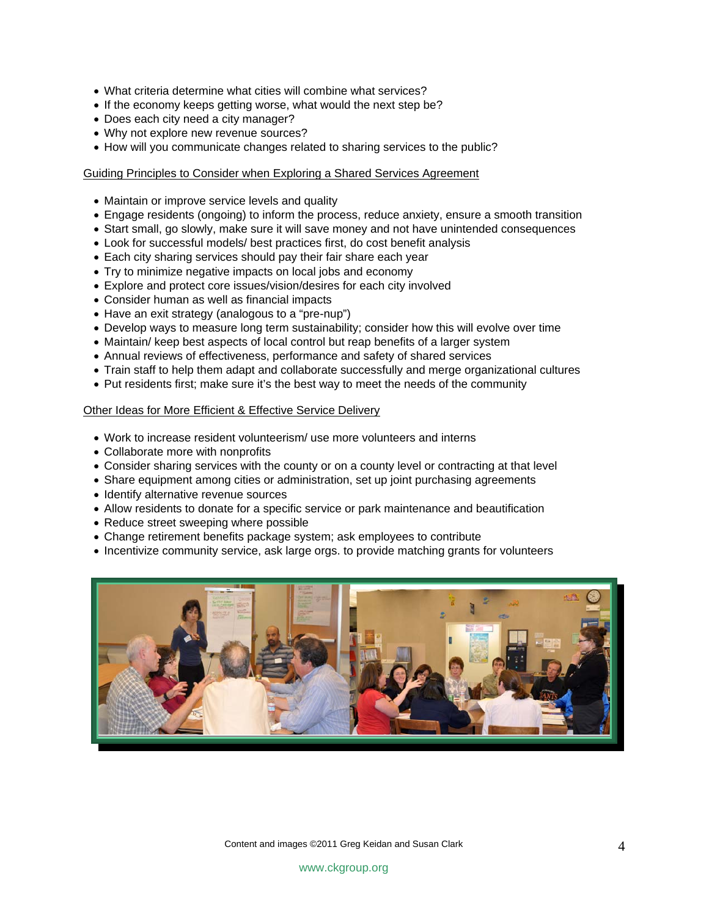- What criteria determine what cities will combine what services?
- If the economy keeps getting worse, what would the next step be?
- Does each city need a city manager?
- Why not explore new revenue sources?
- How will you communicate changes related to sharing services to the public?

#### Guiding Principles to Consider when Exploring a Shared Services Agreement

- Maintain or improve service levels and quality
- Engage residents (ongoing) to inform the process, reduce anxiety, ensure a smooth transition
- Start small, go slowly, make sure it will save money and not have unintended consequences
- Look for successful models/ best practices first, do cost benefit analysis
- Each city sharing services should pay their fair share each year
- Try to minimize negative impacts on local jobs and economy
- Explore and protect core issues/vision/desires for each city involved
- Consider human as well as financial impacts
- Have an exit strategy (analogous to a "pre-nup")
- Develop ways to measure long term sustainability; consider how this will evolve over time
- Maintain/ keep best aspects of local control but reap benefits of a larger system
- Annual reviews of effectiveness, performance and safety of shared services
- Train staff to help them adapt and collaborate successfully and merge organizational cultures
- Put residents first; make sure it's the best way to meet the needs of the community

#### Other Ideas for More Efficient & Effective Service Delivery

- Work to increase resident volunteerism/ use more volunteers and interns
- Collaborate more with nonprofits
- Consider sharing services with the county or on a county level or contracting at that level
- Share equipment among cities or administration, set up joint purchasing agreements
- Identify alternative revenue sources
- Allow residents to donate for a specific service or park maintenance and beautification
- Reduce street sweeping where possible
- Change retirement benefits package system; ask employees to contribute
- Incentivize community service, ask large orgs. to provide matching grants for volunteers

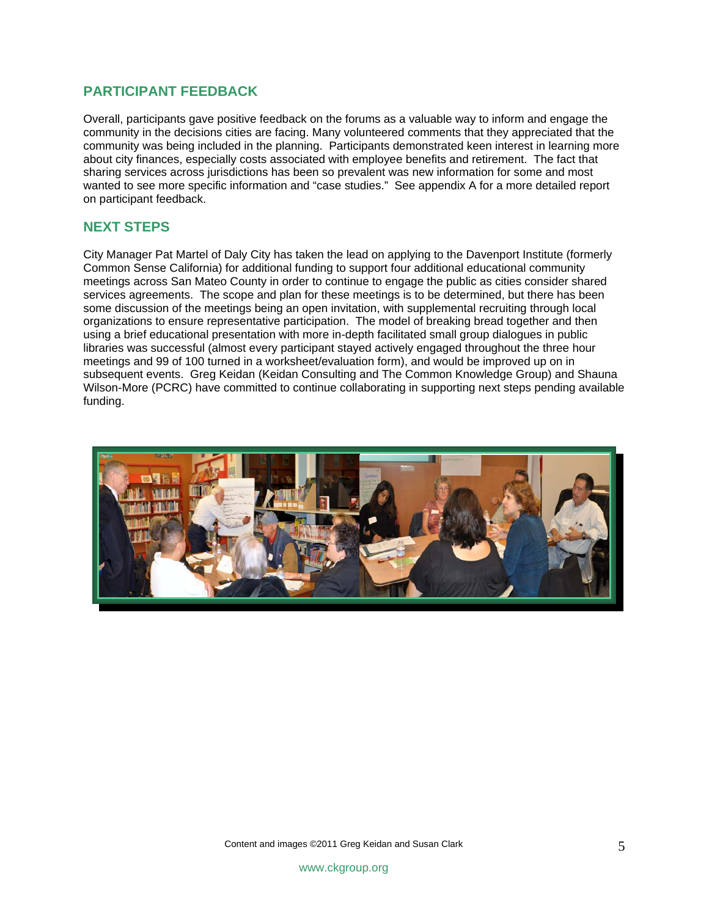#### **PARTICIPANT FEEDBACK**

Overall, participants gave positive feedback on the forums as a valuable way to inform and engage the community in the decisions cities are facing. Many volunteered comments that they appreciated that the community was being included in the planning. Participants demonstrated keen interest in learning more about city finances, especially costs associated with employee benefits and retirement. The fact that sharing services across jurisdictions has been so prevalent was new information for some and most wanted to see more specific information and "case studies." See appendix A for a more detailed report on participant feedback.

#### **NEXT STEPS**

City Manager Pat Martel of Daly City has taken the lead on applying to the Davenport Institute (formerly Common Sense California) for additional funding to support four additional educational community meetings across San Mateo County in order to continue to engage the public as cities consider shared services agreements. The scope and plan for these meetings is to be determined, but there has been some discussion of the meetings being an open invitation, with supplemental recruiting through local organizations to ensure representative participation. The model of breaking bread together and then using a brief educational presentation with more in-depth facilitated small group dialogues in public libraries was successful (almost every participant stayed actively engaged throughout the three hour meetings and 99 of 100 turned in a worksheet/evaluation form), and would be improved up on in subsequent events. Greg Keidan (Keidan Consulting and The Common Knowledge Group) and Shauna Wilson-More (PCRC) have committed to continue collaborating in supporting next steps pending available funding.

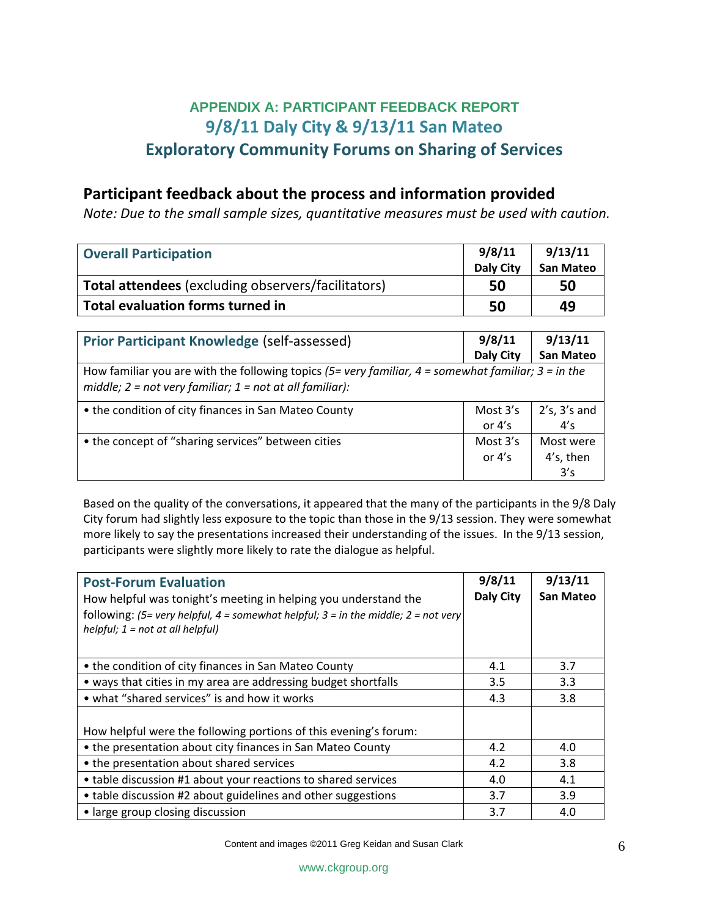# **APPENDIX A: PARTICIPANT FEEDBACK REPORT 9/8/11 Daly City & 9/13/11 San Mateo Exploratory Community Forums on Sharing of Services**

# **Participant feedback about the process and information provided**

*Note: Due to the small sample sizes, quantitative measures must be used with caution.* 

| <b>Overall Participation</b>                                                                                                                                            | 9/8/11<br><b>Daly City</b> | 9/13/11<br><b>San Mateo</b> |  |  |
|-------------------------------------------------------------------------------------------------------------------------------------------------------------------------|----------------------------|-----------------------------|--|--|
| <b>Total attendees</b> (excluding observers/facilitators)                                                                                                               | 50                         | 50                          |  |  |
| <b>Total evaluation forms turned in</b>                                                                                                                                 | 50                         | 49                          |  |  |
|                                                                                                                                                                         |                            |                             |  |  |
| <b>Prior Participant Knowledge (self-assessed)</b>                                                                                                                      | 9/8/11                     | 9/13/11                     |  |  |
|                                                                                                                                                                         | <b>Daly City</b>           | <b>San Mateo</b>            |  |  |
| How familiar you are with the following topics (5= very familiar, $4 =$ somewhat familiar; $3 =$ in the<br>middle; $2 = not$ very familiar; $1 = not$ at all familiar): |                            |                             |  |  |
| • the condition of city finances in San Mateo County                                                                                                                    | Most $3's$                 | $2's$ , $3's$ and           |  |  |
|                                                                                                                                                                         | or $4's$                   | 4's                         |  |  |
| • the concept of "sharing services" between cities                                                                                                                      | Most $3's$                 | Most were                   |  |  |
|                                                                                                                                                                         | or $4's$                   | 4's, then                   |  |  |
|                                                                                                                                                                         |                            | 3's                         |  |  |

Based on the quality of the conversations, it appeared that the many of the participants in the 9/8 Daly City forum had slightly less exposure to the topic than those in the 9/13 session. They were somewhat more likely to say the presentations increased their understanding of the issues. In the 9/13 session, participants were slightly more likely to rate the dialogue as helpful.

| <b>Post-Forum Evaluation</b><br>How helpful was tonight's meeting in helping you understand the<br>following: (5= very helpful, 4 = somewhat helpful; $3$ = in the middle; $2$ = not very<br>helpful; $1 = not$ at all helpful) | 9/8/11<br>Daly City | 9/13/11<br>San Mateo |
|---------------------------------------------------------------------------------------------------------------------------------------------------------------------------------------------------------------------------------|---------------------|----------------------|
| • the condition of city finances in San Mateo County                                                                                                                                                                            | 4.1                 | 3.7                  |
| • ways that cities in my area are addressing budget shortfalls                                                                                                                                                                  | 3.5                 | 3.3                  |
| • what "shared services" is and how it works                                                                                                                                                                                    | 4.3                 | 3.8                  |
| How helpful were the following portions of this evening's forum:                                                                                                                                                                |                     |                      |
| • the presentation about city finances in San Mateo County                                                                                                                                                                      | 4.2                 | 4.0                  |
| • the presentation about shared services                                                                                                                                                                                        | 4.2                 | 3.8                  |
| • table discussion #1 about your reactions to shared services                                                                                                                                                                   | 4.0                 | 4.1                  |
| • table discussion #2 about guidelines and other suggestions                                                                                                                                                                    | 3.7                 | 3.9                  |
| • large group closing discussion                                                                                                                                                                                                | 3.7                 | 4.0                  |

Content and images ©2011 Greg Keidan and Susan Clark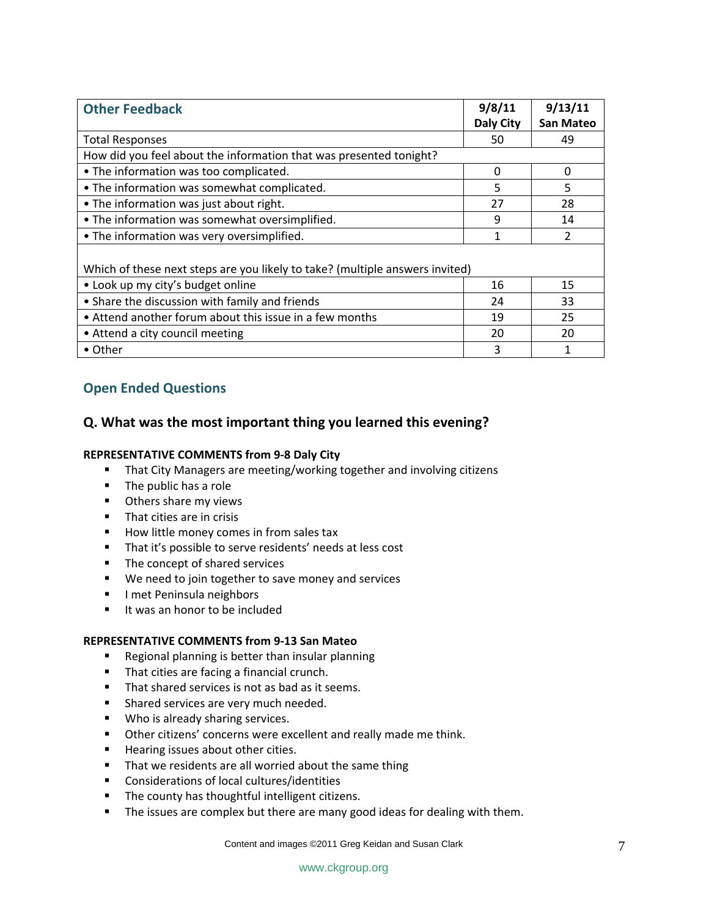| <b>Other Feedback</b>                                                        | 9/8/11<br>Daly City | 9/13/11<br><b>San Mateo</b> |
|------------------------------------------------------------------------------|---------------------|-----------------------------|
| <b>Total Responses</b>                                                       | 50                  | 49                          |
| How did you feel about the information that was presented tonight?           |                     |                             |
| • The information was too complicated.                                       | $\Omega$            | 0                           |
| • The information was somewhat complicated.                                  | 5                   | 5                           |
| • The information was just about right.                                      | 27                  | 28                          |
| . The information was somewhat oversimplified.                               | 9                   | 14                          |
| • The information was very oversimplified.                                   | 1                   | 2                           |
| Which of these next steps are you likely to take? (multiple answers invited) |                     |                             |
| • Look up my city's budget online                                            | 16                  | 15                          |
| • Share the discussion with family and friends                               | 24                  | 33                          |
| • Attend another forum about this issue in a few months                      | 19                  | 25                          |
| • Attend a city council meeting                                              | 20                  | 20                          |
| • Other                                                                      | 3                   |                             |

### **Open Ended Questions**

#### **Q. What was the most important thing you learned this evening?**

#### **REPRESENTATIVE COMMENTS from 9‐8 Daly City**

- **That City Managers are meeting/working together and involving citizens**
- The public has a role
- **•** Others share my views
- **That cities are in crisis**
- How little money comes in from sales tax
- That it's possible to serve residents' needs at less cost
- The concept of shared services
- **We need to join together to save money and services**
- **I** I met Peninsula neighbors
- It was an honor to be included

#### **REPRESENTATIVE COMMENTS from 9‐13 San Mateo**

- **Regional planning is better than insular planning**
- **That cities are facing a financial crunch.**
- That shared services is not as bad as it seems.
- **Shared services are very much needed.**
- **Who is already sharing services.**
- **•** Other citizens' concerns were excellent and really made me think.
- **Hearing issues about other cities.**
- **That we residents are all worried about the same thing**
- Considerations of local cultures/identities
- **The county has thoughtful intelligent citizens.**
- The issues are complex but there are many good ideas for dealing with them.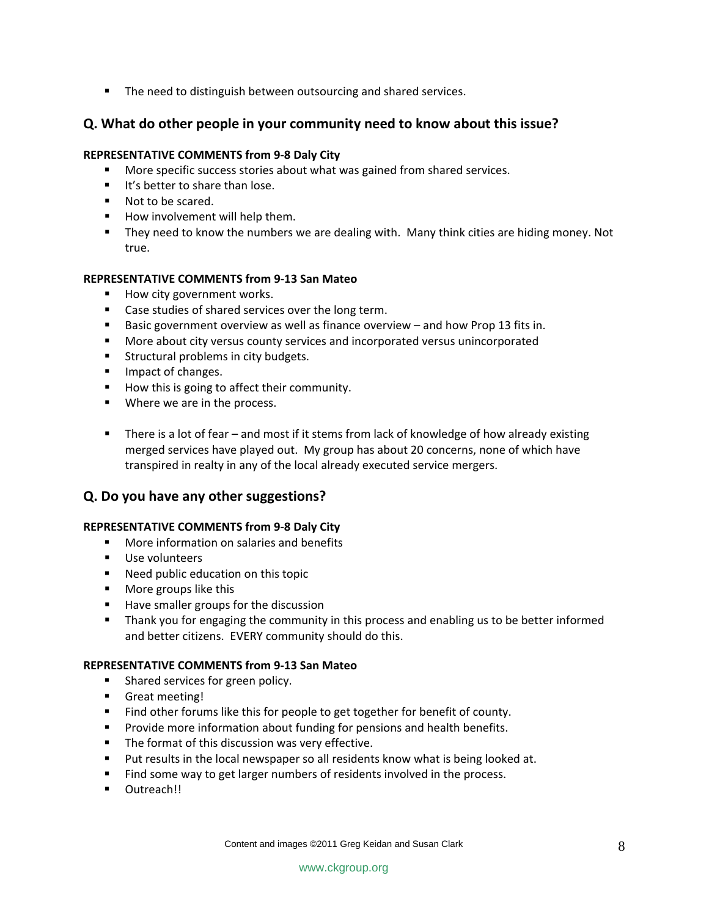■ The need to distinguish between outsourcing and shared services.

#### **Q. What do other people in your community need to know about this issue?**

#### **REPRESENTATIVE COMMENTS from 9‐8 Daly City**

- **More specific success stories about what was gained from shared services.**
- It's better to share than lose.
- Not to be scared.
- **How involvement will help them.**
- **They need to know the numbers we are dealing with. Many think cities are hiding money. Not** true.

#### **REPRESENTATIVE COMMENTS from 9‐13 San Mateo**

- **How city government works.**
- **EXEC** Case studies of shared services over the long term.
- **Basic government overview as well as finance overview and how Prop 13 fits in.**
- More about city versus county services and incorporated versus unincorporated
- **Structural problems in city budgets.**
- **IMPACT OF CHANGES.**
- **How this is going to affect their community.**
- **Where we are in the process.**
- There is a lot of fear and most if it stems from lack of knowledge of how already existing merged services have played out. My group has about 20 concerns, none of which have transpired in realty in any of the local already executed service mergers.

#### **Q. Do you have any other suggestions?**

#### **REPRESENTATIVE COMMENTS from 9‐8 Daly City**

- **More information on salaries and benefits**
- **Use volunteers**
- **Need public education on this topic**
- **More groups like this**
- Have smaller groups for the discussion
- **Thank you for engaging the community in this process and enabling us to be better informed** and better citizens. EVERY community should do this.

#### **REPRESENTATIVE COMMENTS from 9‐13 San Mateo**

- **Shared services for green policy.**
- Great meeting!
- Find other forums like this for people to get together for benefit of county.
- **Provide more information about funding for pensions and health benefits.**
- **The format of this discussion was very effective.**
- Put results in the local newspaper so all residents know what is being looked at.
- Find some way to get larger numbers of residents involved in the process.
- **-** Outreach!!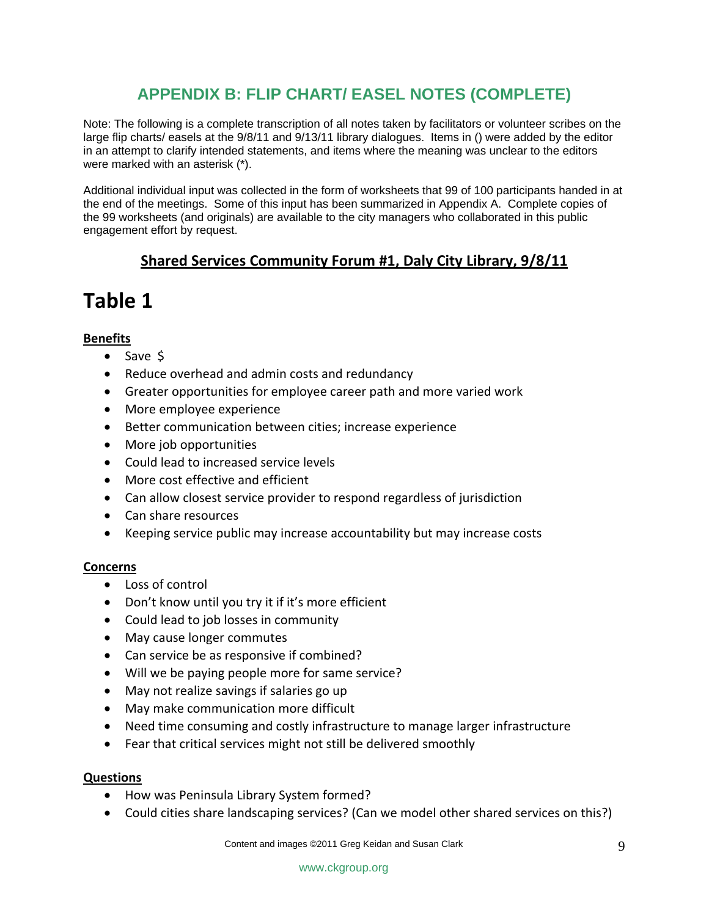# **APPENDIX B: FLIP CHART/ EASEL NOTES (COMPLETE)**

Note: The following is a complete transcription of all notes taken by facilitators or volunteer scribes on the large flip charts/ easels at the 9/8/11 and 9/13/11 library dialogues. Items in () were added by the editor in an attempt to clarify intended statements, and items where the meaning was unclear to the editors were marked with an asterisk (\*).

Additional individual input was collected in the form of worksheets that 99 of 100 participants handed in at the end of the meetings. Some of this input has been summarized in Appendix A. Complete copies of the 99 worksheets (and originals) are available to the city managers who collaborated in this public engagement effort by request.

# **Shared Services Community Forum #1, Daly City Library, 9/8/11**

# **Table 1**

#### **Benefits**

- Save \$
- Reduce overhead and admin costs and redundancy
- Greater opportunities for employee career path and more varied work
- More employee experience
- Better communication between cities; increase experience
- More job opportunities
- Could lead to increased service levels
- More cost effective and efficient
- Can allow closest service provider to respond regardless of jurisdiction
- Can share resources
- Keeping service public may increase accountability but may increase costs

#### **Concerns**

- Loss of control
- Don't know until you try it if it's more efficient
- Could lead to job losses in community
- May cause longer commutes
- Can service be as responsive if combined?
- Will we be paying people more for same service?
- May not realize savings if salaries go up
- May make communication more difficult
- Need time consuming and costly infrastructure to manage larger infrastructure
- Fear that critical services might not still be delivered smoothly

#### **Questions**

- How was Peninsula Library System formed?
- Could cities share landscaping services? (Can we model other shared services on this?)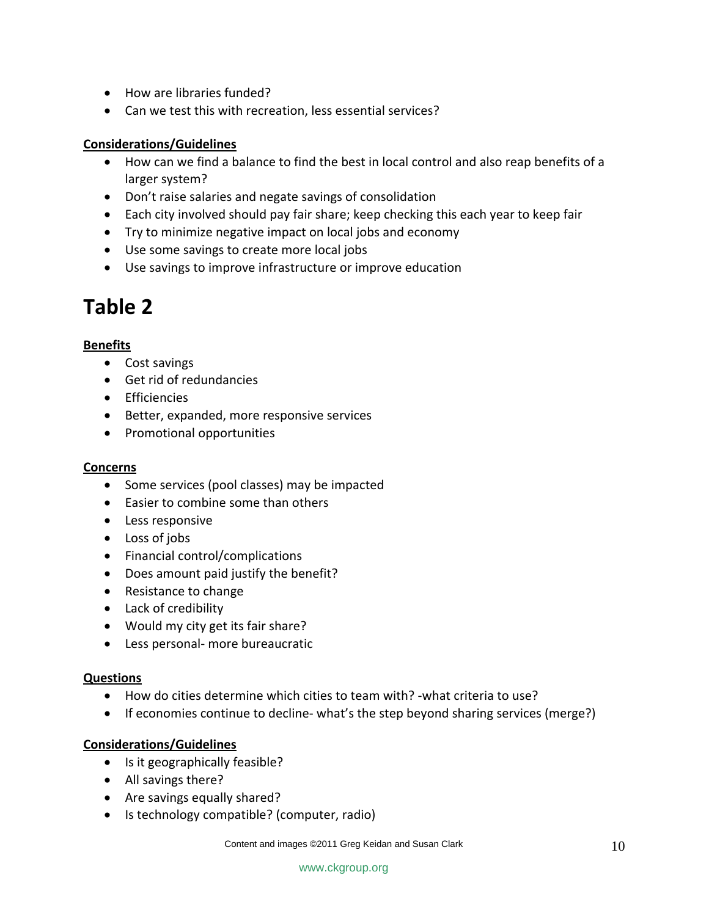- How are libraries funded?
- Can we test this with recreation, less essential services?

### **Considerations/Guidelines**

- How can we find a balance to find the best in local control and also reap benefits of a larger system?
- Don't raise salaries and negate savings of consolidation
- Each city involved should pay fair share; keep checking this each year to keep fair
- Try to minimize negative impact on local jobs and economy
- Use some savings to create more local jobs
- Use savings to improve infrastructure or improve education

# **Table 2**

#### **Benefits**

- Cost savings
- Get rid of redundancies
- Efficiencies
- Better, expanded, more responsive services
- Promotional opportunities

### **Concerns**

- Some services (pool classes) may be impacted
- Easier to combine some than others
- Less responsive
- Loss of jobs
- Financial control/complications
- Does amount paid justify the benefit?
- Resistance to change
- Lack of credibility
- Would my city get its fair share?
- Less personal‐ more bureaucratic

#### **Questions**

- How do cities determine which cities to team with? ‐what criteria to use?
- If economies continue to decline-what's the step beyond sharing services (merge?)

### **Considerations/Guidelines**

- Is it geographically feasible?
- All savings there?
- Are savings equally shared?
- Is technology compatible? (computer, radio)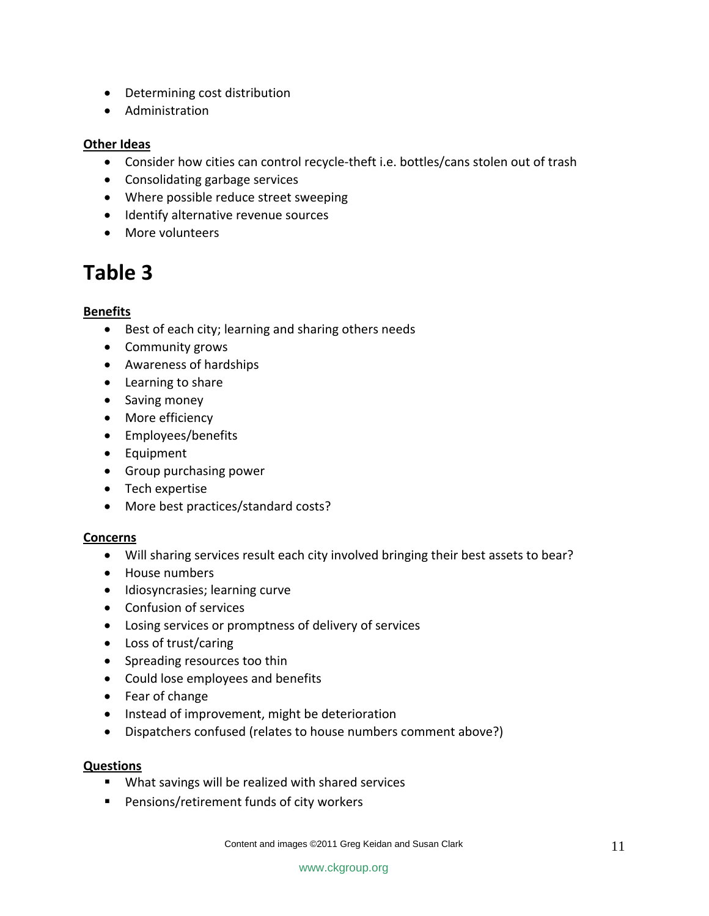- Determining cost distribution
- Administration

#### **Other Ideas**

- Consider how cities can control recycle‐theft i.e. bottles/cans stolen out of trash
- Consolidating garbage services
- Where possible reduce street sweeping
- Identify alternative revenue sources
- More volunteers

# **Table 3**

#### **Benefits**

- Best of each city; learning and sharing others needs
- Community grows
- Awareness of hardships
- Learning to share
- Saving money
- More efficiency
- Employees/benefits
- Equipment
- Group purchasing power
- Tech expertise
- More best practices/standard costs?

#### **Concerns**

- Will sharing services result each city involved bringing their best assets to bear?
- House numbers
- Idiosyncrasies; learning curve
- Confusion of services
- Losing services or promptness of delivery of services
- Loss of trust/caring
- Spreading resources too thin
- Could lose employees and benefits
- Fear of change
- Instead of improvement, might be deterioration
- Dispatchers confused (relates to house numbers comment above?)

#### **Questions**

- **What savings will be realized with shared services**
- **Pensions/retirement funds of city workers**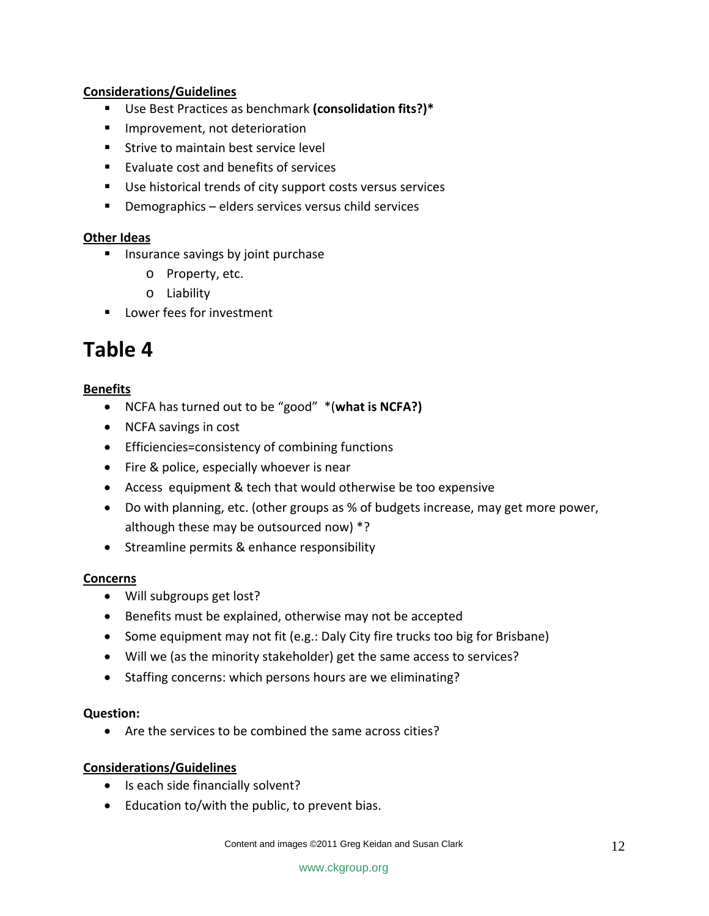#### **Considerations/Guidelines**

- Use Best Practices as benchmark **(consolidation fits?)\***
- **Improvement, not deterioration**
- **Strive to maintain best service level**
- **Evaluate cost and benefits of services**
- Use historical trends of city support costs versus services
- Demographics elders services versus child services

#### **Other Ideas**

- **Insurance savings by joint purchase** 
	- o Property, etc.
	- o Liability
- **Lower fees for investment**

# **Table 4**

#### **Benefits**

- NCFA has turned out to be "good" \*(**what is NCFA?)**
- NCFA savings in cost
- Efficiencies=consistency of combining functions
- Fire & police, especially whoever is near
- Access equipment & tech that would otherwise be too expensive
- Do with planning, etc. (other groups as % of budgets increase, may get more power, although these may be outsourced now) \*?
- Streamline permits & enhance responsibility

#### **Concerns**

- Will subgroups get lost?
- Benefits must be explained, otherwise may not be accepted
- Some equipment may not fit (e.g.: Daly City fire trucks too big for Brisbane)
- Will we (as the minority stakeholder) get the same access to services?
- Staffing concerns: which persons hours are we eliminating?

#### **Question:**

• Are the services to be combined the same across cities?

#### **Considerations/Guidelines**

- Is each side financially solvent?
- Education to/with the public, to prevent bias.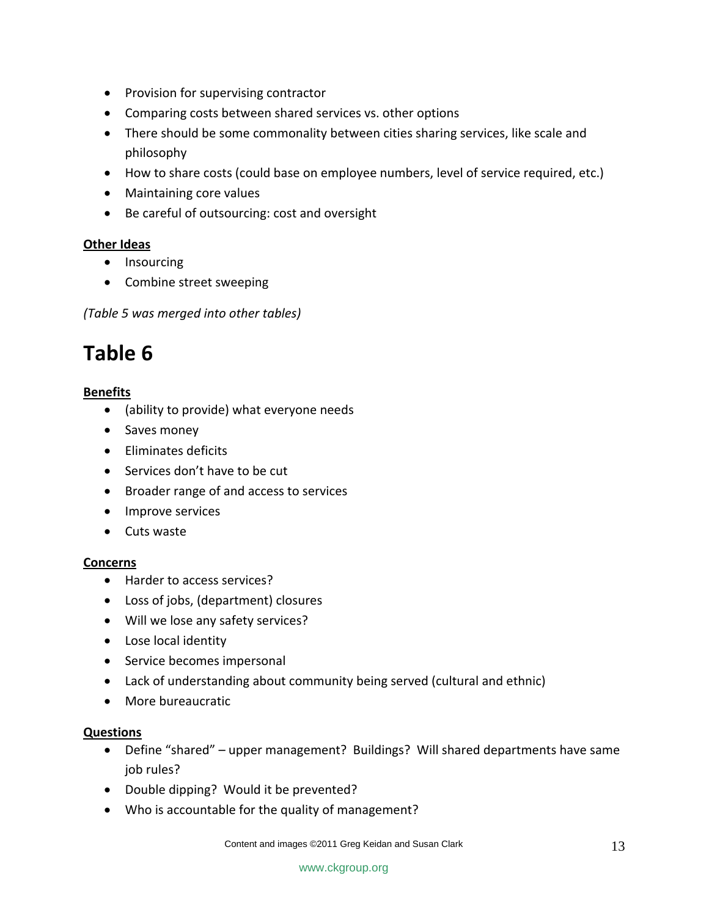- Provision for supervising contractor
- Comparing costs between shared services vs. other options
- There should be some commonality between cities sharing services, like scale and philosophy
- How to share costs (could base on employee numbers, level of service required, etc.)
- Maintaining core values
- Be careful of outsourcing: cost and oversight

### **Other Ideas**

- Insourcing
- Combine street sweeping

*(Table 5 was merged into other tables)*

# **Table 6**

### **Benefits**

- (ability to provide) what everyone needs
- Saves money
- Eliminates deficits
- Services don't have to be cut
- Broader range of and access to services
- Improve services
- Cuts waste

### **Concerns**

- Harder to access services?
- Loss of jobs, (department) closures
- Will we lose any safety services?
- Lose local identity
- Service becomes impersonal
- Lack of understanding about community being served (cultural and ethnic)
- More bureaucratic

#### **Questions**

- Define "shared" upper management? Buildings? Will shared departments have same job rules?
- Double dipping? Would it be prevented?
- Who is accountable for the quality of management?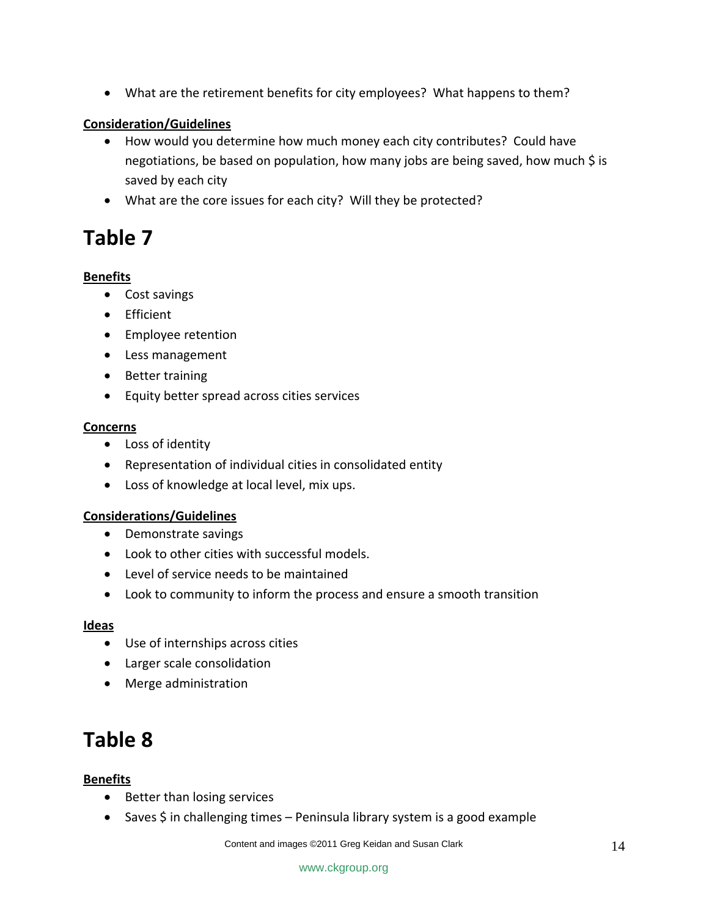• What are the retirement benefits for city employees? What happens to them?

### **Consideration/Guidelines**

- How would you determine how much money each city contributes? Could have negotiations, be based on population, how many jobs are being saved, how much \$ is saved by each city
- What are the core issues for each city? Will they be protected?

# **Table 7**

#### **Benefits**

- Cost savings
- Efficient
- Employee retention
- Less management
- Better training
- Equity better spread across cities services

#### **Concerns**

- Loss of identity
- Representation of individual cities in consolidated entity
- Loss of knowledge at local level, mix ups.

#### **Considerations/Guidelines**

- Demonstrate savings
- Look to other cities with successful models.
- Level of service needs to be maintained
- Look to community to inform the process and ensure a smooth transition

#### **Ideas**

- Use of internships across cities
- Larger scale consolidation
- Merge administration

# **Table 8**

#### **Benefits**

- Better than losing services
- Saves \$ in challenging times Peninsula library system is a good example

Content and images ©2011 Greg Keidan and Susan Clark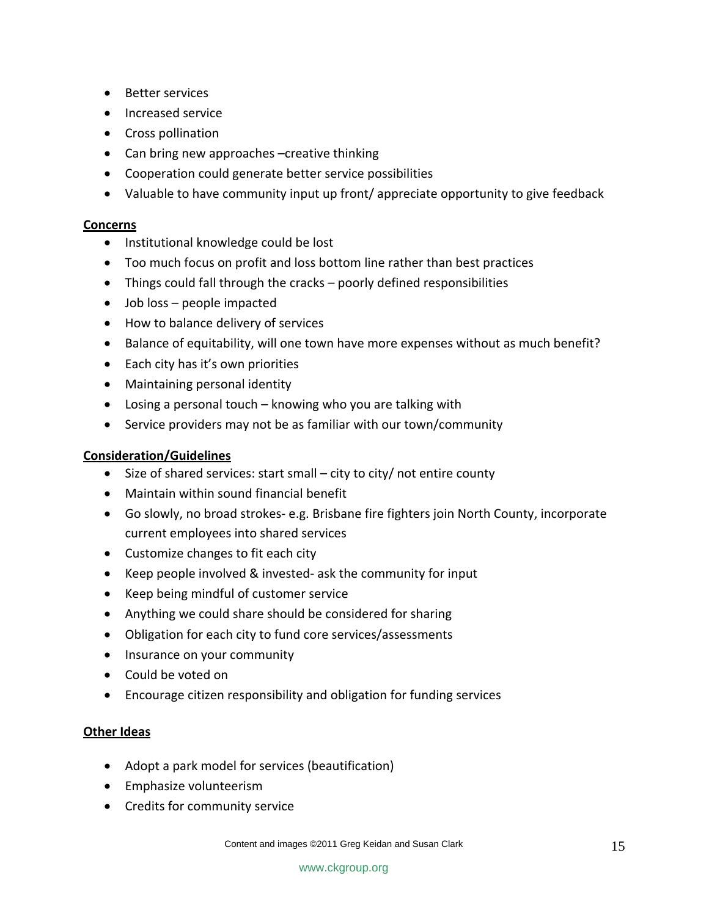- Better services
- Increased service
- Cross pollination
- Can bring new approaches –creative thinking
- Cooperation could generate better service possibilities
- Valuable to have community input up front/ appreciate opportunity to give feedback

#### **Concerns**

- Institutional knowledge could be lost
- Too much focus on profit and loss bottom line rather than best practices
- Things could fall through the cracks poorly defined responsibilities
- Job loss people impacted
- How to balance delivery of services
- Balance of equitability, will one town have more expenses without as much benefit?
- Each city has it's own priorities
- Maintaining personal identity
- Losing a personal touch knowing who you are talking with
- Service providers may not be as familiar with our town/community

#### **Consideration/Guidelines**

- Size of shared services: start small city to city/ not entire county
- Maintain within sound financial benefit
- Go slowly, no broad strokes‐ e.g. Brisbane fire fighters join North County, incorporate current employees into shared services
- Customize changes to fit each city
- Keep people involved & invested‐ ask the community for input
- Keep being mindful of customer service
- Anything we could share should be considered for sharing
- Obligation for each city to fund core services/assessments
- Insurance on your community
- Could be voted on
- Encourage citizen responsibility and obligation for funding services

#### **Other Ideas**

- Adopt a park model for services (beautification)
- Emphasize volunteerism
- Credits for community service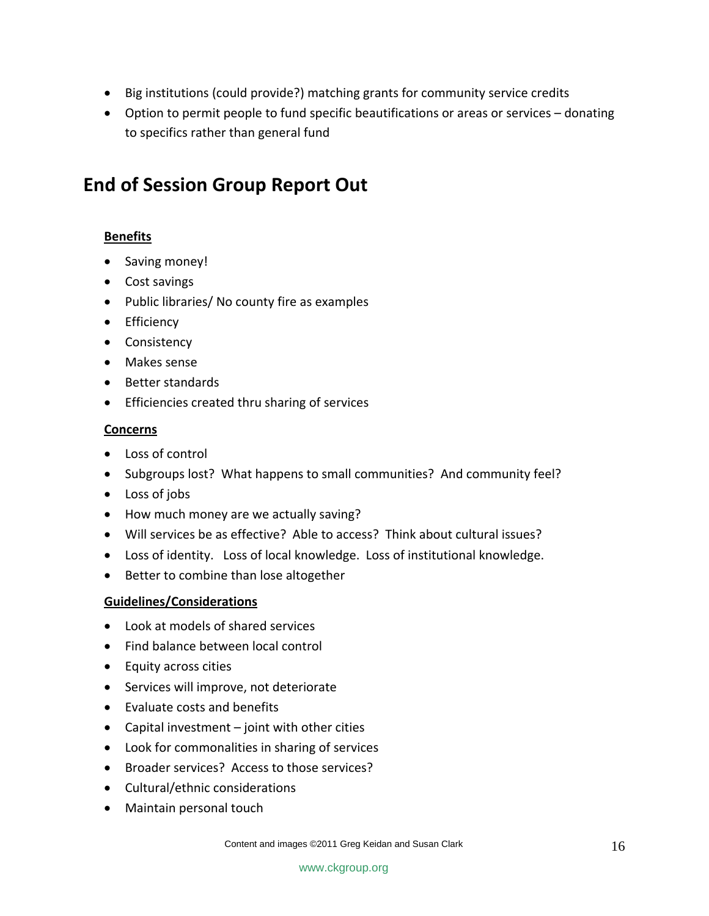- Big institutions (could provide?) matching grants for community service credits
- Option to permit people to fund specific beautifications or areas or services donating to specifics rather than general fund

# **End of Session Group Report Out**

### **Benefits**

- Saving money!
- Cost savings
- Public libraries/ No county fire as examples
- Efficiency
- Consistency
- Makes sense
- Better standards
- Efficiencies created thru sharing of services

### **Concerns**

- Loss of control
- Subgroups lost? What happens to small communities? And community feel?
- Loss of jobs
- How much money are we actually saving?
- Will services be as effective? Able to access? Think about cultural issues?
- Loss of identity. Loss of local knowledge. Loss of institutional knowledge.
- Better to combine than lose altogether

### **Guidelines/Considerations**

- Look at models of shared services
- Find balance between local control
- Equity across cities
- Services will improve, not deteriorate
- Evaluate costs and benefits
- Capital investment joint with other cities
- Look for commonalities in sharing of services
- Broader services? Access to those services?
- Cultural/ethnic considerations
- Maintain personal touch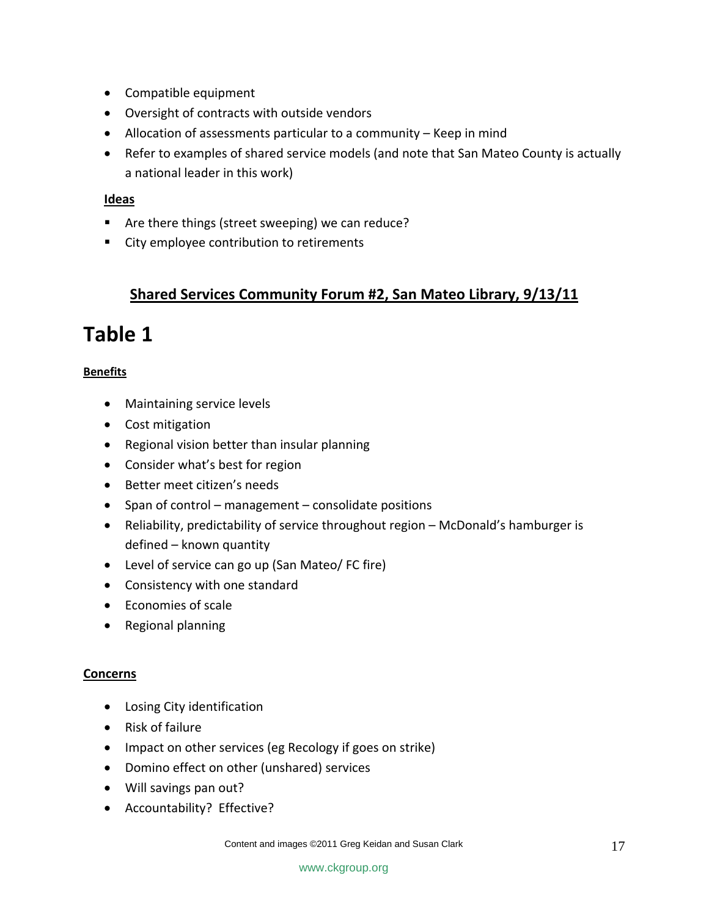- Compatible equipment
- Oversight of contracts with outside vendors
- Allocation of assessments particular to a community Keep in mind
- Refer to examples of shared service models (and note that San Mateo County is actually a national leader in this work)

#### **Ideas**

- Are there things (street sweeping) we can reduce?
- City employee contribution to retirements

# **Shared Services Community Forum #2, San Mateo Library, 9/13/11**

# **Table 1**

### **Benefits**

- Maintaining service levels
- Cost mitigation
- Regional vision better than insular planning
- Consider what's best for region
- Better meet citizen's needs
- Span of control management consolidate positions
- Reliability, predictability of service throughout region McDonald's hamburger is defined – known quantity
- Level of service can go up (San Mateo/ FC fire)
- Consistency with one standard
- Economies of scale
- Regional planning

#### **Concerns**

- Losing City identification
- Risk of failure
- Impact on other services (eg Recology if goes on strike)
- Domino effect on other (unshared) services
- Will savings pan out?
- Accountability? Effective?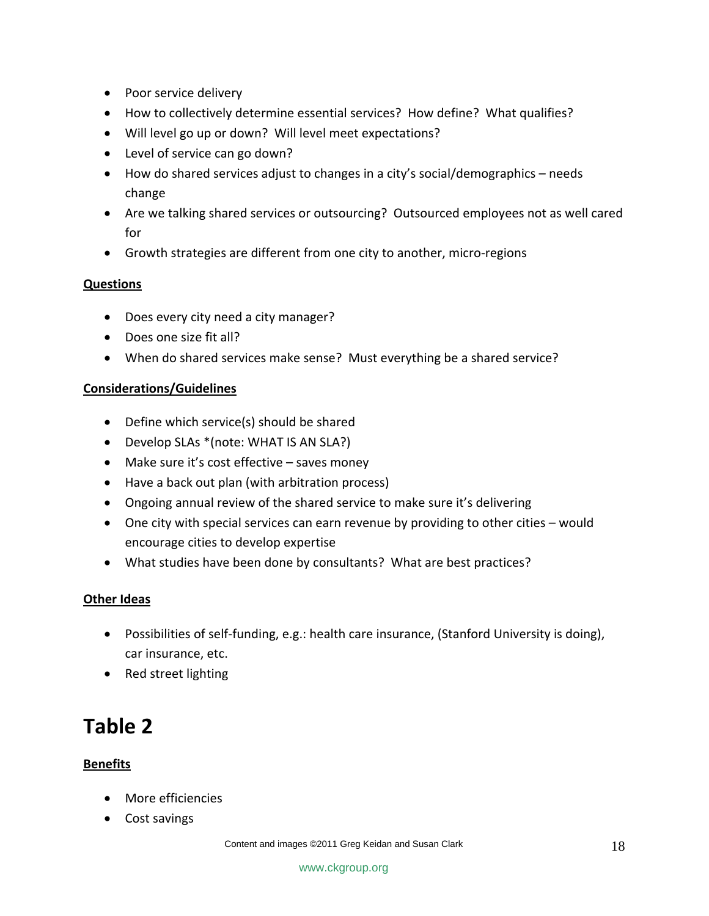- Poor service delivery
- How to collectively determine essential services? How define? What qualifies?
- Will level go up or down? Will level meet expectations?
- Level of service can go down?
- How do shared services adjust to changes in a city's social/demographics needs change
- Are we talking shared services or outsourcing? Outsourced employees not as well cared for
- Growth strategies are different from one city to another, micro‐regions

#### **Questions**

- Does every city need a city manager?
- Does one size fit all?
- When do shared services make sense? Must everything be a shared service?

#### **Considerations/Guidelines**

- Define which service(s) should be shared
- Develop SLAs \*(note: WHAT IS AN SLA?)
- Make sure it's cost effective saves money
- Have a back out plan (with arbitration process)
- Ongoing annual review of the shared service to make sure it's delivering
- One city with special services can earn revenue by providing to other cities would encourage cities to develop expertise
- What studies have been done by consultants? What are best practices?

### **Other Ideas**

- Possibilities of self-funding, e.g.: health care insurance, (Stanford University is doing), car insurance, etc.
- Red street lighting

# **Table 2**

### **Benefits**

- More efficiencies
- Cost savings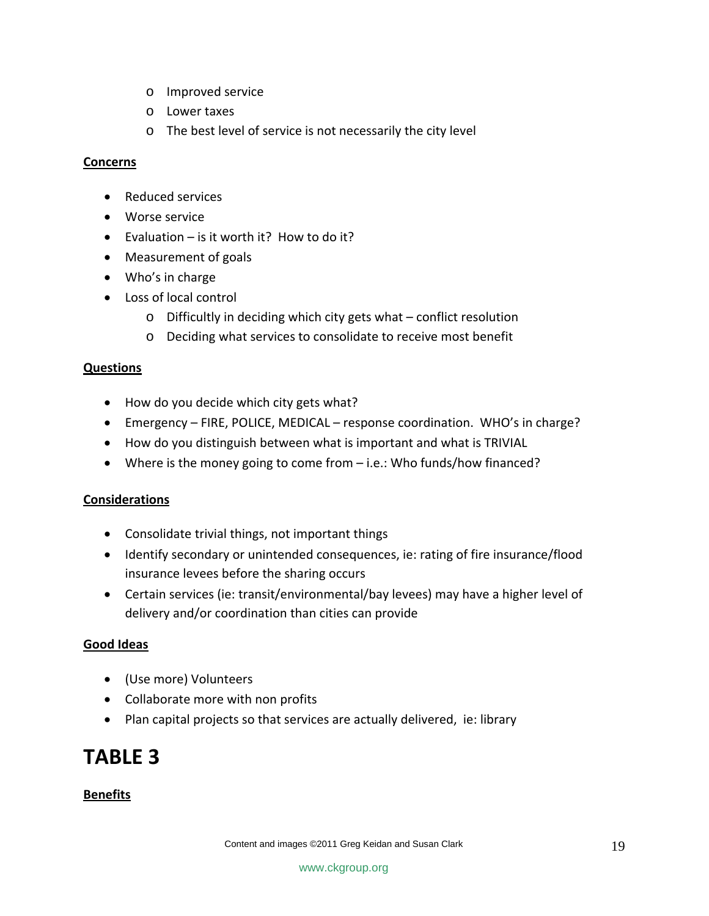- o Improved service
- o Lower taxes
- o The best level of service is not necessarily the city level

#### **Concerns**

- Reduced services
- Worse service
- Evaluation is it worth it? How to do it?
- Measurement of goals
- Who's in charge
- Loss of local control
	- o Difficultly in deciding which city gets what conflict resolution
	- o Deciding what services to consolidate to receive most benefit

#### **Questions**

- How do you decide which city gets what?
- Emergency FIRE, POLICE, MEDICAL response coordination. WHO's in charge?
- How do you distinguish between what is important and what is TRIVIAL
- Where is the money going to come from i.e.: Who funds/how financed?

#### **Considerations**

- Consolidate trivial things, not important things
- Identify secondary or unintended consequences, ie: rating of fire insurance/flood insurance levees before the sharing occurs
- Certain services (ie: transit/environmental/bay levees) may have a higher level of delivery and/or coordination than cities can provide

#### **Good Ideas**

- (Use more) Volunteers
- Collaborate more with non profits
- Plan capital projects so that services are actually delivered, ie: library

# **TABLE 3**

#### **Benefits**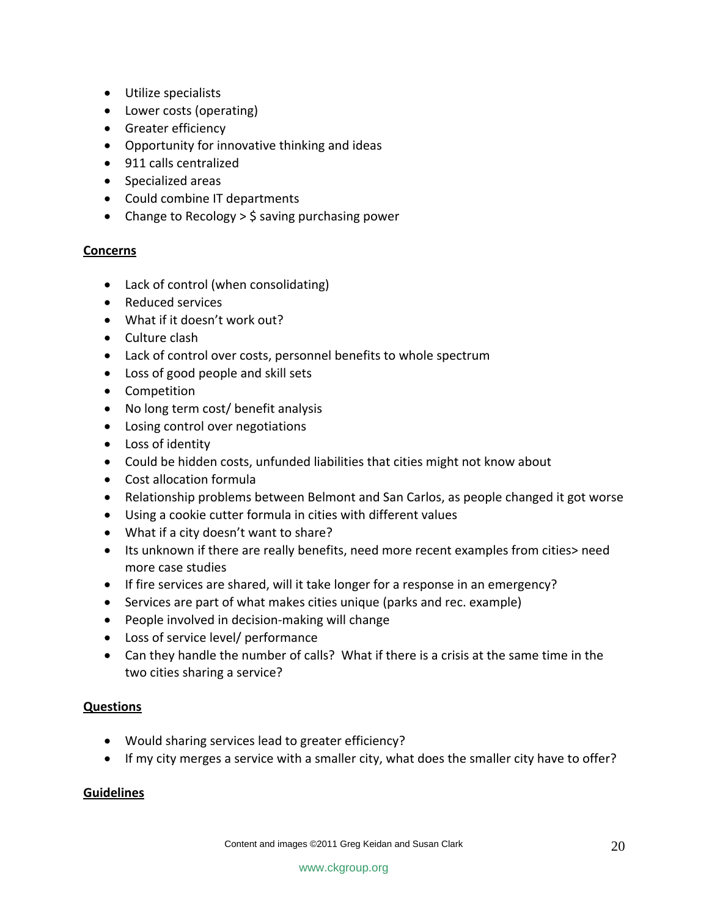- Utilize specialists
- Lower costs (operating)
- Greater efficiency
- Opportunity for innovative thinking and ideas
- 911 calls centralized
- Specialized areas
- Could combine IT departments
- Change to Recology  $>$  \$ saving purchasing power

#### **Concerns**

- Lack of control (when consolidating)
- Reduced services
- What if it doesn't work out?
- Culture clash
- Lack of control over costs, personnel benefits to whole spectrum
- Loss of good people and skill sets
- Competition
- No long term cost/ benefit analysis
- Losing control over negotiations
- Loss of identity
- Could be hidden costs, unfunded liabilities that cities might not know about
- Cost allocation formula
- Relationship problems between Belmont and San Carlos, as people changed it got worse
- Using a cookie cutter formula in cities with different values
- What if a city doesn't want to share?
- Its unknown if there are really benefits, need more recent examples from cities> need more case studies
- If fire services are shared, will it take longer for a response in an emergency?
- Services are part of what makes cities unique (parks and rec. example)
- People involved in decision‐making will change
- Loss of service level/ performance
- Can they handle the number of calls? What if there is a crisis at the same time in the two cities sharing a service?

#### **Questions**

- Would sharing services lead to greater efficiency?
- If my city merges a service with a smaller city, what does the smaller city have to offer?

#### **Guidelines**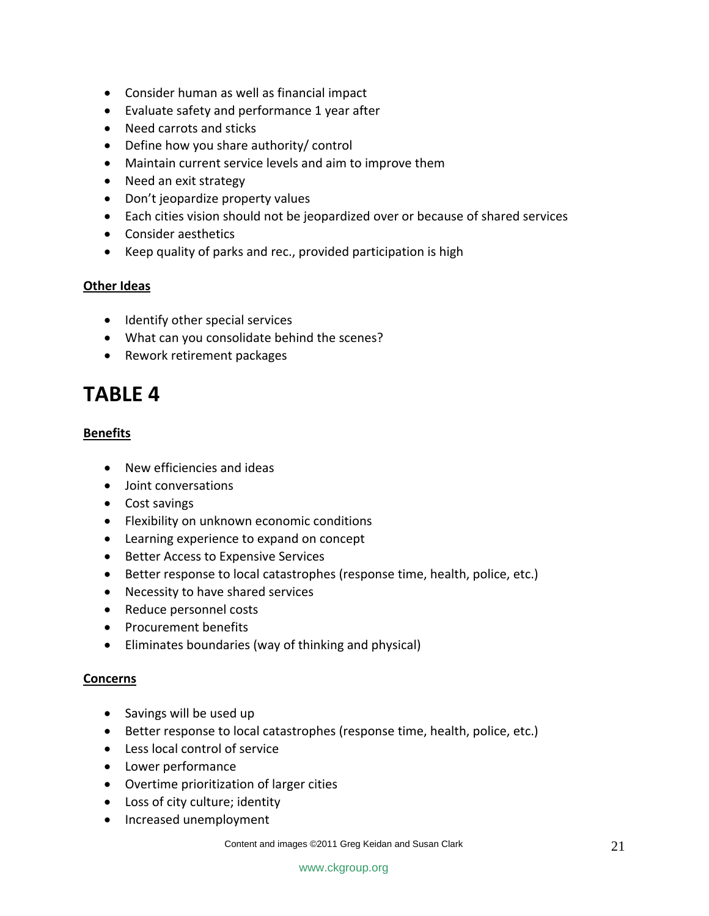- Consider human as well as financial impact
- Evaluate safety and performance 1 year after
- Need carrots and sticks
- Define how you share authority/ control
- Maintain current service levels and aim to improve them
- Need an exit strategy
- Don't jeopardize property values
- Each cities vision should not be jeopardized over or because of shared services
- Consider aesthetics
- Keep quality of parks and rec., provided participation is high

#### **Other Ideas**

- Identify other special services
- What can you consolidate behind the scenes?
- Rework retirement packages

# **TABLE 4**

#### **Benefits**

- New efficiencies and ideas
- Joint conversations
- Cost savings
- Flexibility on unknown economic conditions
- Learning experience to expand on concept
- Better Access to Expensive Services
- Better response to local catastrophes (response time, health, police, etc.)
- Necessity to have shared services
- Reduce personnel costs
- Procurement benefits
- Eliminates boundaries (way of thinking and physical)

#### **Concerns**

- Savings will be used up
- Better response to local catastrophes (response time, health, police, etc.)
- Less local control of service
- Lower performance
- Overtime prioritization of larger cities
- Loss of city culture; identity
- Increased unemployment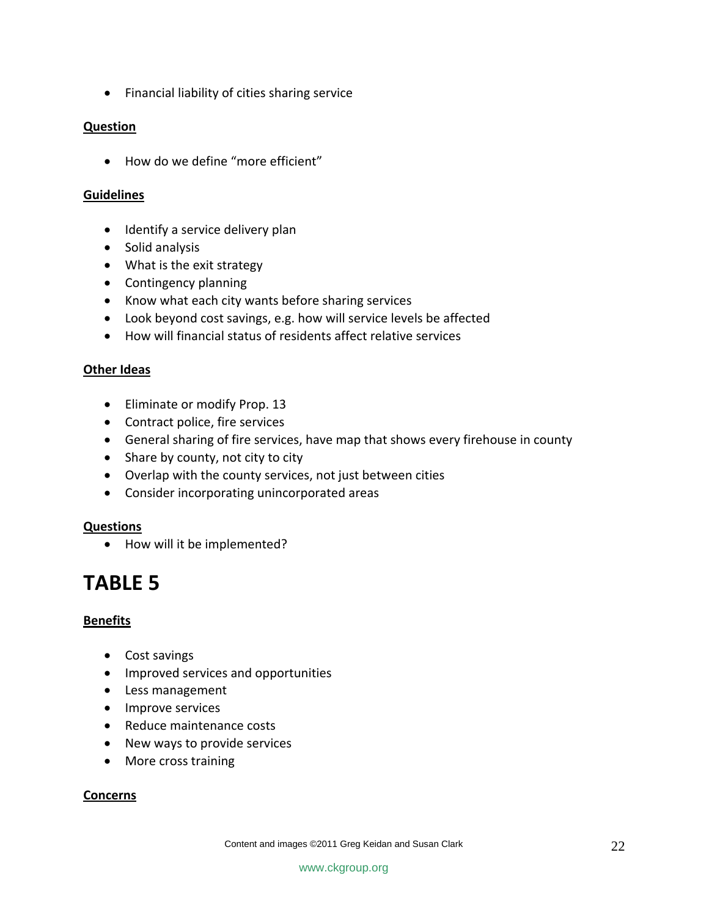• Financial liability of cities sharing service

#### **Question**

• How do we define "more efficient"

#### **Guidelines**

- Identify a service delivery plan
- Solid analysis
- What is the exit strategy
- Contingency planning
- Know what each city wants before sharing services
- Look beyond cost savings, e.g. how will service levels be affected
- How will financial status of residents affect relative services

#### **Other Ideas**

- Eliminate or modify Prop. 13
- Contract police, fire services
- General sharing of fire services, have map that shows every firehouse in county
- Share by county, not city to city
- Overlap with the county services, not just between cities
- Consider incorporating unincorporated areas

#### **Questions**

• How will it be implemented?

# **TABLE 5**

### **Benefits**

- Cost savings
- Improved services and opportunities
- Less management
- Improve services
- Reduce maintenance costs
- New ways to provide services
- More cross training

#### **Concerns**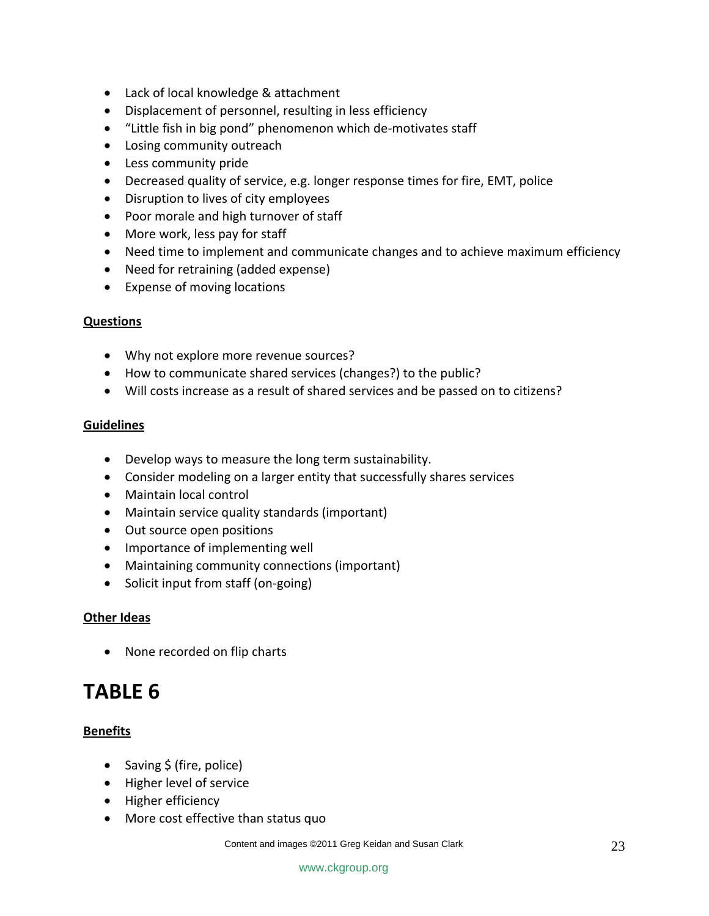- Lack of local knowledge & attachment
- Displacement of personnel, resulting in less efficiency
- "Little fish in big pond" phenomenon which de‐motivates staff
- Losing community outreach
- Less community pride
- Decreased quality of service, e.g. longer response times for fire, EMT, police
- Disruption to lives of city employees
- Poor morale and high turnover of staff
- More work, less pay for staff
- Need time to implement and communicate changes and to achieve maximum efficiency
- Need for retraining (added expense)
- Expense of moving locations

#### **Questions**

- Why not explore more revenue sources?
- How to communicate shared services (changes?) to the public?
- Will costs increase as a result of shared services and be passed on to citizens?

#### **Guidelines**

- Develop ways to measure the long term sustainability.
- Consider modeling on a larger entity that successfully shares services
- Maintain local control
- Maintain service quality standards (important)
- Out source open positions
- Importance of implementing well
- Maintaining community connections (important)
- Solicit input from staff (on‐going)

#### **Other Ideas**

• None recorded on flip charts

# **TABLE 6**

### **Benefits**

- Saving \$ (fire, police)
- Higher level of service
- Higher efficiency
- More cost effective than status quo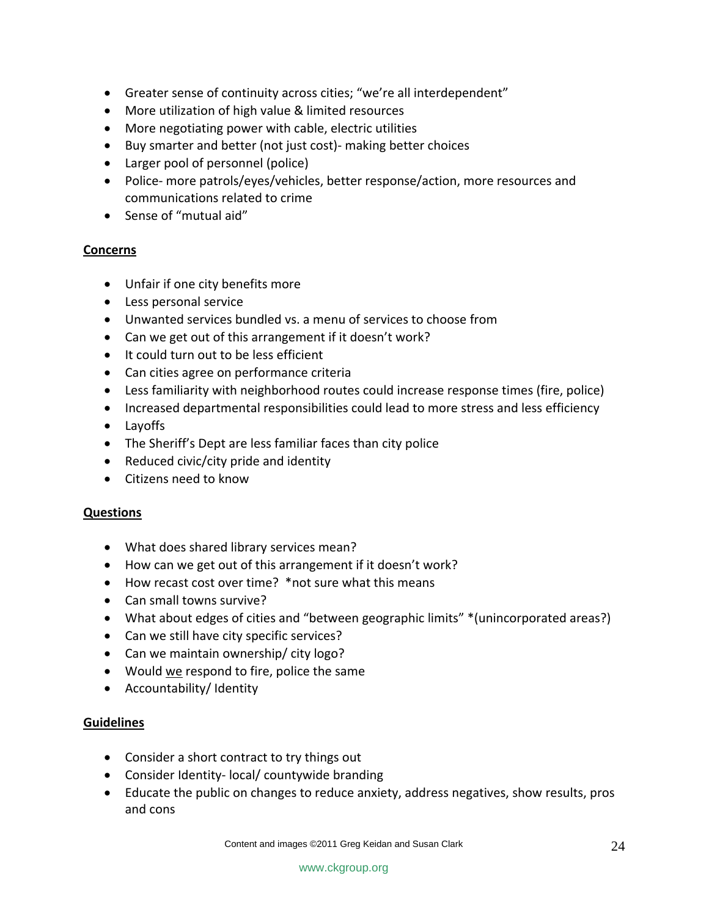- Greater sense of continuity across cities; "we're all interdependent"
- More utilization of high value & limited resources
- More negotiating power with cable, electric utilities
- Buy smarter and better (not just cost)‐ making better choices
- Larger pool of personnel (police)
- Police- more patrols/eyes/vehicles, better response/action, more resources and communications related to crime
- Sense of "mutual aid"

#### **Concerns**

- Unfair if one city benefits more
- Less personal service
- Unwanted services bundled vs. a menu of services to choose from
- Can we get out of this arrangement if it doesn't work?
- It could turn out to be less efficient
- Can cities agree on performance criteria
- Less familiarity with neighborhood routes could increase response times (fire, police)
- Increased departmental responsibilities could lead to more stress and less efficiency
- Layoffs
- The Sheriff's Dept are less familiar faces than city police
- Reduced civic/city pride and identity
- Citizens need to know

#### **Questions**

- What does shared library services mean?
- How can we get out of this arrangement if it doesn't work?
- How recast cost over time? \*not sure what this means
- Can small towns survive?
- What about edges of cities and "between geographic limits" \*(unincorporated areas?)
- Can we still have city specific services?
- Can we maintain ownership/ city logo?
- Would we respond to fire, police the same
- Accountability/ Identity

### **Guidelines**

- Consider a short contract to try things out
- Consider Identity‐ local/ countywide branding
- Educate the public on changes to reduce anxiety, address negatives, show results, pros and cons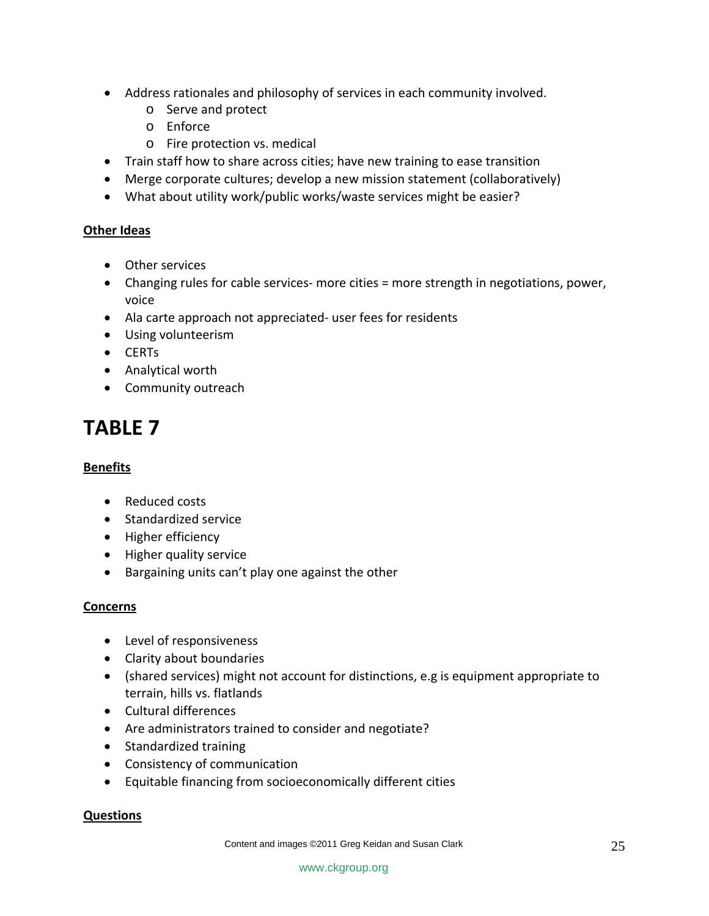- Address rationales and philosophy of services in each community involved.
	- o Serve and protect
	- o Enforce
	- o Fire protection vs. medical
- Train staff how to share across cities; have new training to ease transition
- Merge corporate cultures; develop a new mission statement (collaboratively)
- What about utility work/public works/waste services might be easier?

#### **Other Ideas**

- Other services
- Changing rules for cable services- more cities = more strength in negotiations, power, voice
- Ala carte approach not appreciated‐ user fees for residents
- Using volunteerism
- CERTs
- Analytical worth
- Community outreach

# **TABLE 7**

### **Benefits**

- Reduced costs
- Standardized service
- Higher efficiency
- Higher quality service
- Bargaining units can't play one against the other

### **Concerns**

- Level of responsiveness
- Clarity about boundaries
- (shared services) might not account for distinctions, e.g is equipment appropriate to terrain, hills vs. flatlands
- Cultural differences
- Are administrators trained to consider and negotiate?
- Standardized training
- Consistency of communication
- Equitable financing from socioeconomically different cities

#### **Questions**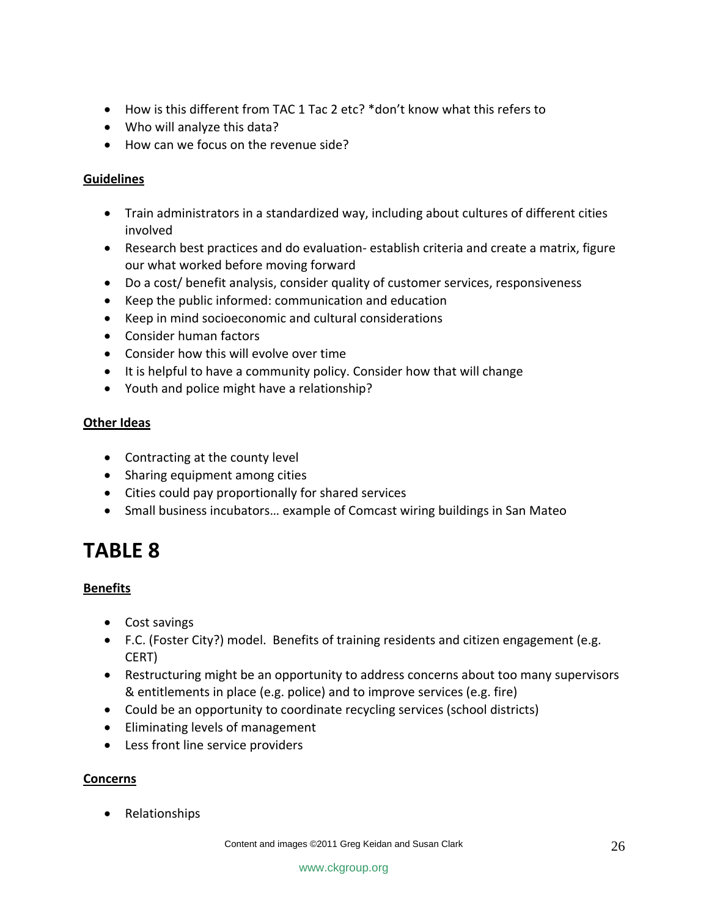- How is this different from TAC 1 Tac 2 etc? \*don't know what this refers to
- Who will analyze this data?
- How can we focus on the revenue side?

### **Guidelines**

- Train administrators in a standardized way, including about cultures of different cities involved
- Research best practices and do evaluation‐ establish criteria and create a matrix, figure our what worked before moving forward
- Do a cost/ benefit analysis, consider quality of customer services, responsiveness
- Keep the public informed: communication and education
- Keep in mind socioeconomic and cultural considerations
- Consider human factors
- Consider how this will evolve over time
- It is helpful to have a community policy. Consider how that will change
- Youth and police might have a relationship?

### **Other Ideas**

- Contracting at the county level
- Sharing equipment among cities
- Cities could pay proportionally for shared services
- Small business incubators… example of Comcast wiring buildings in San Mateo

# **TABLE 8**

### **Benefits**

- Cost savings
- F.C. (Foster City?) model. Benefits of training residents and citizen engagement (e.g. CERT)
- Restructuring might be an opportunity to address concerns about too many supervisors & entitlements in place (e.g. police) and to improve services (e.g. fire)
- Could be an opportunity to coordinate recycling services (school districts)
- Eliminating levels of management
- Less front line service providers

### **Concerns**

• Relationships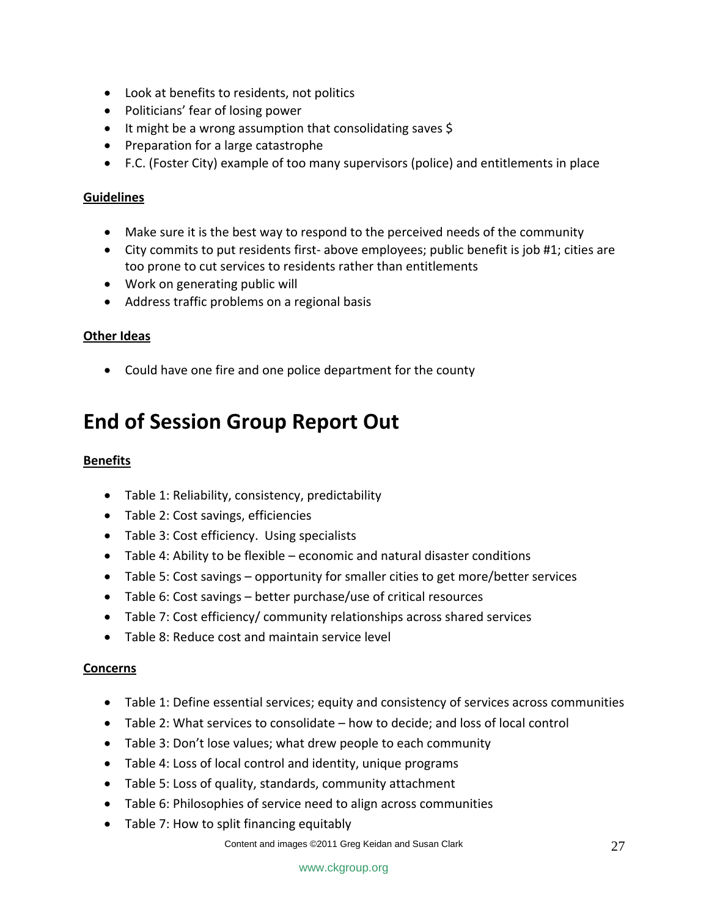- Look at benefits to residents, not politics
- Politicians' fear of losing power
- It might be a wrong assumption that consolidating saves \$
- Preparation for a large catastrophe
- F.C. (Foster City) example of too many supervisors (police) and entitlements in place

#### **Guidelines**

- Make sure it is the best way to respond to the perceived needs of the community
- City commits to put residents first- above employees; public benefit is job #1; cities are too prone to cut services to residents rather than entitlements
- Work on generating public will
- Address traffic problems on a regional basis

#### **Other Ideas**

• Could have one fire and one police department for the county

# **End of Session Group Report Out**

#### **Benefits**

- Table 1: Reliability, consistency, predictability
- Table 2: Cost savings, efficiencies
- Table 3: Cost efficiency. Using specialists
- Table 4: Ability to be flexible economic and natural disaster conditions
- Table 5: Cost savings opportunity for smaller cities to get more/better services
- Table 6: Cost savings better purchase/use of critical resources
- Table 7: Cost efficiency/ community relationships across shared services
- Table 8: Reduce cost and maintain service level

#### **Concerns**

- Table 1: Define essential services; equity and consistency of services across communities
- Table 2: What services to consolidate how to decide; and loss of local control
- Table 3: Don't lose values; what drew people to each community
- Table 4: Loss of local control and identity, unique programs
- Table 5: Loss of quality, standards, community attachment
- Table 6: Philosophies of service need to align across communities
- Table 7: How to split financing equitably

Content and images ©2011 Greg Keidan and Susan Clark